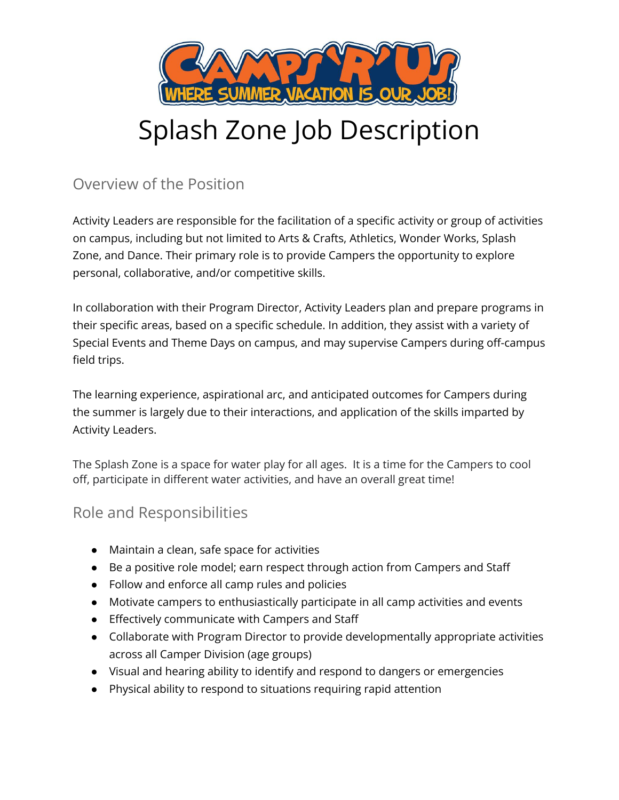

# Splash Zone Job Description

## Overview of the Position

Activity Leaders are responsible for the facilitation of a specific activity or group of activities on campus, including but not limited to Arts & Crafts, Athletics, Wonder Works, Splash Zone, and Dance. Their primary role is to provide Campers the opportunity to explore personal, collaborative, and/or competitive skills.

In collaboration with their Program Director, Activity Leaders plan and prepare programs in their specific areas, based on a specific schedule. In addition, they assist with a variety of Special Events and Theme Days on campus, and may supervise Campers during off-campus field trips.

The learning experience, aspirational arc, and anticipated outcomes for Campers during the summer is largely due to their interactions, and application of the skills imparted by Activity Leaders.

The Splash Zone is a space for water play for all ages. It is a time for the Campers to cool off, participate in different water activities, and have an overall great time!

## Role and Responsibilities

- Maintain a clean, safe space for activities
- Be a positive role model; earn respect through action from Campers and Staff
- Follow and enforce all camp rules and policies
- Motivate campers to enthusiastically participate in all camp activities and events
- Effectively communicate with Campers and Staff
- Collaborate with Program Director to provide developmentally appropriate activities across all Camper Division (age groups)
- Visual and hearing ability to identify and respond to dangers or emergencies
- Physical ability to respond to situations requiring rapid attention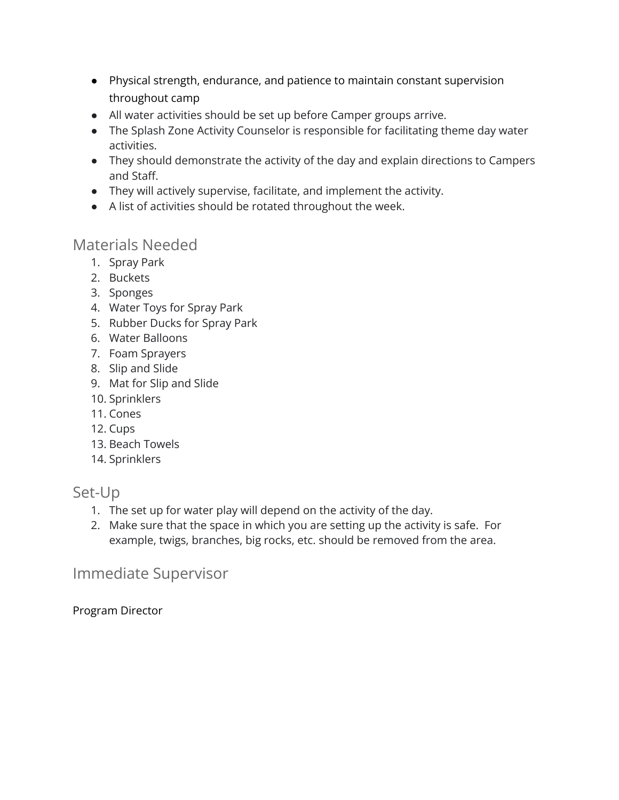- Physical strength, endurance, and patience to maintain constant supervision throughout camp
- All water activities should be set up before Camper groups arrive.
- The Splash Zone Activity Counselor is responsible for facilitating theme day water activities.
- They should demonstrate the activity of the day and explain directions to Campers and Staff.
- They will actively supervise, facilitate, and implement the activity.
- A list of activities should be rotated throughout the week.

### Materials Needed

- 1. Spray Park
- 2. Buckets
- 3. Sponges
- 4. Water Toys for Spray Park
- 5. Rubber Ducks for Spray Park
- 6. Water Balloons
- 7. Foam Sprayers
- 8. Slip and Slide
- 9. Mat for Slip and Slide
- 10. Sprinklers
- 11. Cones
- 12. Cups
- 13. Beach Towels
- 14. Sprinklers

#### Set-Up

- 1. The set up for water play will depend on the activity of the day.
- 2. Make sure that the space in which you are setting up the activity is safe. For example, twigs, branches, big rocks, etc. should be removed from the area.

#### Immediate Supervisor

Program Director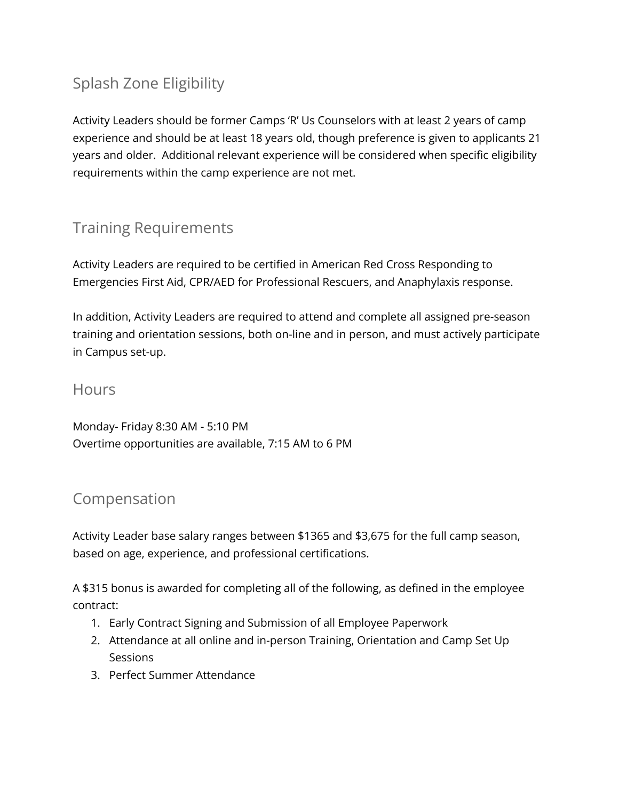# Splash Zone Eligibility

Activity Leaders should be former Camps 'R' Us Counselors with at least 2 years of camp experience and should be at least 18 years old, though preference is given to applicants 21 years and older. Additional relevant experience will be considered when specific eligibility requirements within the camp experience are not met.

# Training Requirements

Activity Leaders are required to be certified in American Red Cross Responding to Emergencies First Aid, CPR/AED for Professional Rescuers, and Anaphylaxis response.

In addition, Activity Leaders are required to attend and complete all assigned pre-season training and orientation sessions, both on-line and in person, and must actively participate in Campus set-up.

#### **Hours**

Monday- Friday 8:30 AM - 5:10 PM Overtime opportunities are available, 7:15 AM to 6 PM

## Compensation

Activity Leader base salary ranges between \$1365 and \$3,675 for the full camp season, based on age, experience, and professional certifications.

A \$315 bonus is awarded for completing all of the following, as defined in the employee contract:

- 1. Early Contract Signing and Submission of all Employee Paperwork
- 2. Attendance at all online and in-person Training, Orientation and Camp Set Up **Sessions**
- 3. Perfect Summer Attendance